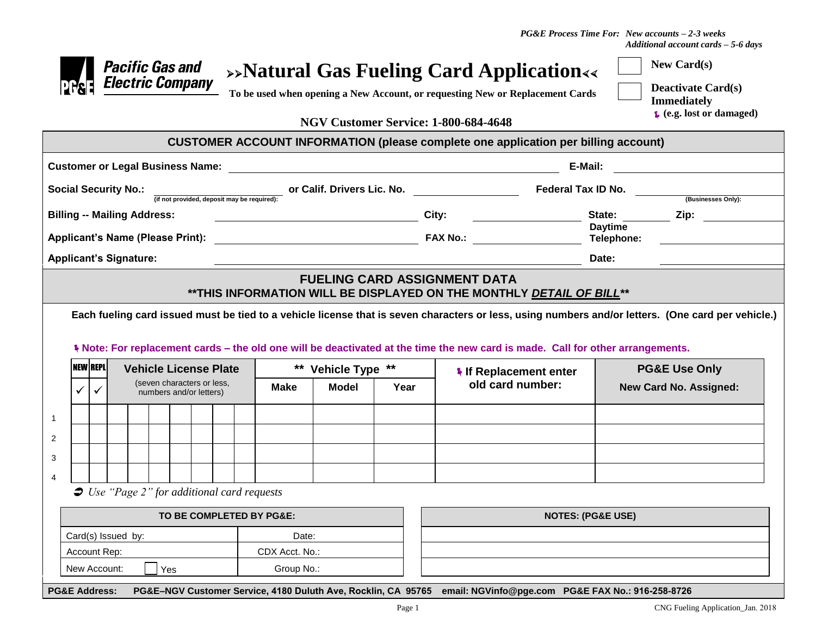*PG&E Process Time For: New accounts – 2-3 weeks Additional account cards – 5-6 days*

|                                                                            |                               | <b>Pacific Gas and</b><br><b>Electric Company</b>     |                              |  |  |  |                                                         |                                                     |                                      |  |         | $\rightarrow$ Natural Gas Fueling Card Application<br>To be used when opening a New Account, or requesting New or Replacement Cards                    |                              |                               | <b>New Card(s)</b><br><b>Deactivate Card(s)</b><br><b>Immediately</b><br>$\epsilon$ (e.g. lost or damaged)                                                                     |  |
|----------------------------------------------------------------------------|-------------------------------|-------------------------------------------------------|------------------------------|--|--|--|---------------------------------------------------------|-----------------------------------------------------|--------------------------------------|--|---------|--------------------------------------------------------------------------------------------------------------------------------------------------------|------------------------------|-------------------------------|--------------------------------------------------------------------------------------------------------------------------------------------------------------------------------|--|
|                                                                            |                               |                                                       |                              |  |  |  |                                                         |                                                     | NGV Customer Service: 1-800-684-4648 |  |         |                                                                                                                                                        |                              |                               |                                                                                                                                                                                |  |
|                                                                            |                               |                                                       |                              |  |  |  |                                                         |                                                     |                                      |  |         | <b>CUSTOMER ACCOUNT INFORMATION (please complete one application per billing account)</b>                                                              |                              |                               |                                                                                                                                                                                |  |
| <b>Customer or Legal Business Name:</b>                                    |                               |                                                       |                              |  |  |  |                                                         |                                                     |                                      |  | E-Mail: |                                                                                                                                                        |                              |                               |                                                                                                                                                                                |  |
| <b>Social Security No.:</b><br>(if not provided, deposit may be required): |                               |                                                       |                              |  |  |  |                                                         |                                                     |                                      |  |         | or Calif. Drivers Lic. No. <b>Example 2</b> Federal Tax ID No.<br>(Businesses Only):                                                                   |                              |                               |                                                                                                                                                                                |  |
| <b>Billing -- Mailing Address:</b>                                         |                               |                                                       |                              |  |  |  | <u> 1989 - Johann Barbara, martin amerikan basar da</u> |                                                     |                                      |  | City:   | <u> 1980 - Andrea Barbara, poeta esp</u>                                                                                                               |                              | State:                        |                                                                                                                                                                                |  |
|                                                                            |                               |                                                       |                              |  |  |  |                                                         |                                                     |                                      |  |         |                                                                                                                                                        | <b>Daytime</b><br>Telephone: |                               |                                                                                                                                                                                |  |
|                                                                            | <b>Applicant's Signature:</b> |                                                       |                              |  |  |  |                                                         |                                                     |                                      |  |         |                                                                                                                                                        |                              | Date:                         |                                                                                                                                                                                |  |
| <b>NEW REPL</b>                                                            |                               |                                                       | <b>Vehicle License Plate</b> |  |  |  |                                                         |                                                     | ** Vehicle Type **                   |  |         | * Note: For replacement cards - the old one will be deactivated at the time the new card is made. Call for other arrangements.<br>If Replacement enter |                              |                               | Each fueling card issued must be tied to a vehicle license that is seven characters or less, using numbers and/or letters. (One card per vehicle.)<br><b>PG&amp;E Use Only</b> |  |
| ✓                                                                          | ✓                             | (seven characters or less,<br>numbers and/or letters) |                              |  |  |  | <b>Model</b><br>Make                                    |                                                     |                                      |  | Year    | old card number:                                                                                                                                       |                              | <b>New Card No. Assigned:</b> |                                                                                                                                                                                |  |
| $\overline{2}$<br>3                                                        |                               |                                                       |                              |  |  |  |                                                         |                                                     |                                      |  |         |                                                                                                                                                        |                              |                               |                                                                                                                                                                                |  |
|                                                                            |                               |                                                       |                              |  |  |  |                                                         | $\bullet$ Use "Page 2" for additional card requests |                                      |  |         |                                                                                                                                                        |                              |                               |                                                                                                                                                                                |  |
| TO BE COMPLETED BY PG&E:                                                   |                               |                                                       |                              |  |  |  |                                                         |                                                     |                                      |  |         | <b>NOTES: (PG&amp;E USE)</b>                                                                                                                           |                              |                               |                                                                                                                                                                                |  |
| Card(s) Issued by:                                                         |                               |                                                       |                              |  |  |  |                                                         | Date:                                               |                                      |  |         |                                                                                                                                                        |                              |                               |                                                                                                                                                                                |  |
| Account Rep:                                                               |                               |                                                       |                              |  |  |  | CDX Acct. No.:                                          |                                                     |                                      |  |         |                                                                                                                                                        |                              |                               |                                                                                                                                                                                |  |

**PG&E Address: PG&E–NGV Customer Service, 4180 Duluth Ave, Rocklin, CA 95765 email: NGVinfo@pge.com PG&E FAX No.: 916-258-8726**

New Account:  $\Box$  Yes <br> Group No.: